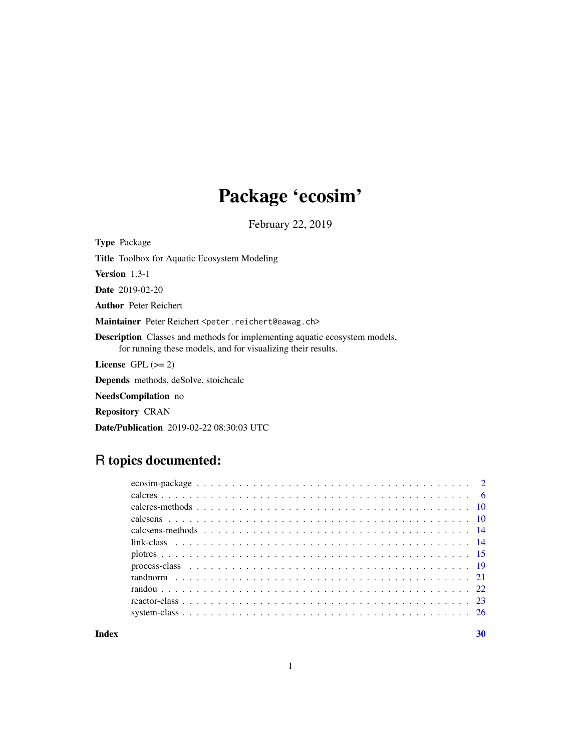# Package 'ecosim'

February 22, 2019

<span id="page-0-0"></span>Type Package

Title Toolbox for Aquatic Ecosystem Modeling

Version 1.3-1

Date 2019-02-20

Author Peter Reichert

Maintainer Peter Reichert <peter.reichert@eawag.ch>

Description Classes and methods for implementing aquatic ecosystem models, for running these models, and for visualizing their results.

License GPL  $(>= 2)$ 

Depends methods, deSolve, stoichcalc

NeedsCompilation no

Repository CRAN

Date/Publication 2019-02-22 08:30:03 UTC

# R topics documented:

 $\bf 30$  $\bf 30$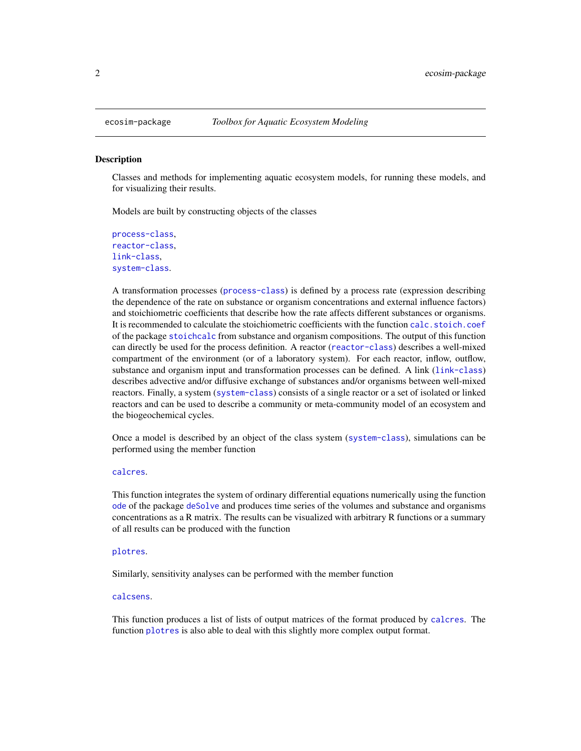#### **Description**

Classes and methods for implementing aquatic ecosystem models, for running these models, and for visualizing their results.

Models are built by constructing objects of the classes

```
process-class,
reactor-class,
link-class,
system-class.
```
A transformation processes ([process-class](#page-18-1)) is defined by a process rate (expression describing the dependence of the rate on substance or organism concentrations and external influence factors) and stoichiometric coefficients that describe how the rate affects different substances or organisms. It is recommended to calculate the stoichiometric coefficients with the function calc, stoich, coef of the package [stoichcalc](#page-0-0) from substance and organism compositions. The output of this function can directly be used for the process definition. A reactor ([reactor-class](#page-22-1)) describes a well-mixed compartment of the environment (or of a laboratory system). For each reactor, inflow, outflow, substance and organism input and transformation processes can be defined. A link ([link-class](#page-13-1)) describes advective and/or diffusive exchange of substances and/or organisms between well-mixed reactors. Finally, a system ([system-class](#page-25-1)) consists of a single reactor or a set of isolated or linked reactors and can be used to describe a community or meta-community model of an ecosystem and the biogeochemical cycles.

Once a model is described by an object of the class system ([system-class](#page-25-1)), simulations can be performed using the member function

# [calcres](#page-5-1).

This function integrates the system of ordinary differential equations numerically using the function [ode](#page-0-0) of the package [deSolve](#page-0-0) and produces time series of the volumes and substance and organisms concentrations as a R matrix. The results can be visualized with arbitrary R functions or a summary of all results can be produced with the function

# [plotres](#page-14-1).

Similarly, sensitivity analyses can be performed with the member function

# [calcsens](#page-9-1).

This function produces a list of lists of output matrices of the format produced by [calcres](#page-5-1). The function [plotres](#page-14-1) is also able to deal with this slightly more complex output format.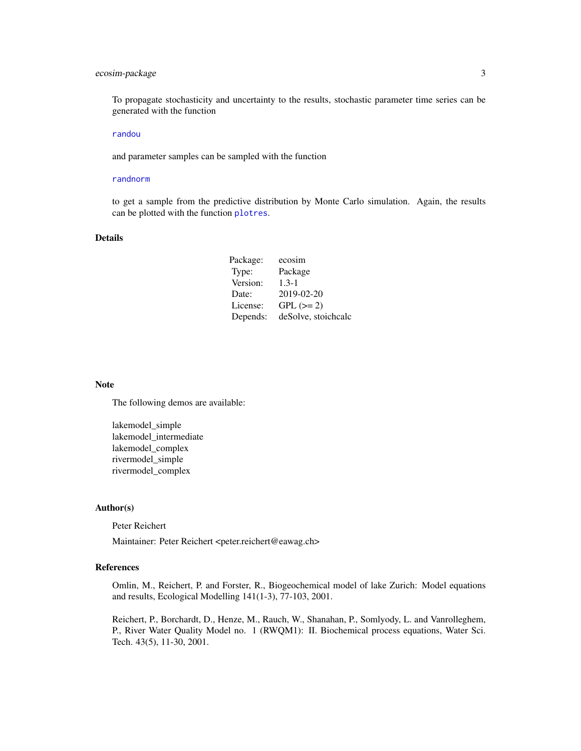# <span id="page-2-0"></span>ecosim-package 3

To propagate stochasticity and uncertainty to the results, stochastic parameter time series can be generated with the function

# [randou](#page-21-1)

and parameter samples can be sampled with the function

#### [randnorm](#page-20-1)

to get a sample from the predictive distribution by Monte Carlo simulation. Again, the results can be plotted with the function [plotres](#page-14-1).

# Details

| Package: | ecosim              |
|----------|---------------------|
| Type:    | Package             |
| Version: | $1.3 - 1$           |
| Date:    | 2019-02-20          |
| License: | $GPL (=2)$          |
| Depends: | deSolve, stoichcalc |

#### Note

The following demos are available:

lakemodel simple lakemodel\_intermediate lakemodel\_complex rivermodel\_simple rivermodel\_complex

# Author(s)

Peter Reichert

Maintainer: Peter Reichert <peter.reichert@eawag.ch>

# References

Omlin, M., Reichert, P. and Forster, R., Biogeochemical model of lake Zurich: Model equations and results, Ecological Modelling 141(1-3), 77-103, 2001.

Reichert, P., Borchardt, D., Henze, M., Rauch, W., Shanahan, P., Somlyody, L. and Vanrolleghem, P., River Water Quality Model no. 1 (RWQM1): II. Biochemical process equations, Water Sci. Tech. 43(5), 11-30, 2001.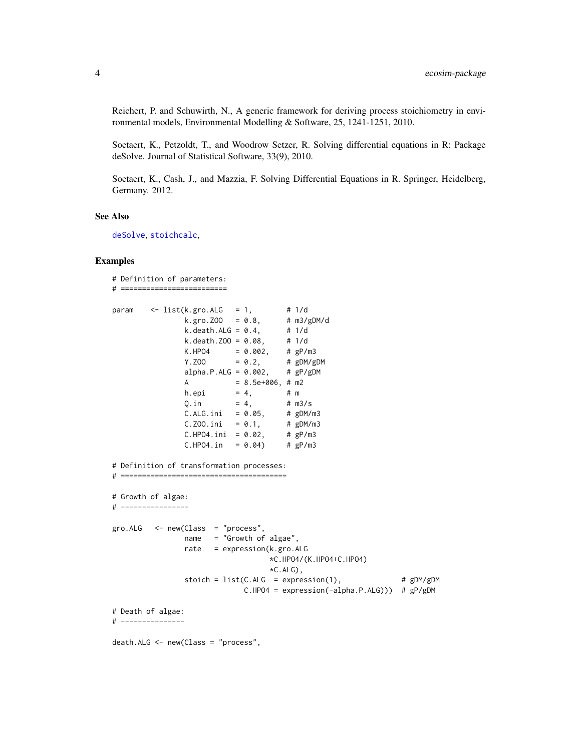<span id="page-3-0"></span>Reichert, P. and Schuwirth, N., A generic framework for deriving process stoichiometry in environmental models, Environmental Modelling & Software, 25, 1241-1251, 2010.

Soetaert, K., Petzoldt, T., and Woodrow Setzer, R. Solving differential equations in R: Package deSolve. Journal of Statistical Software, 33(9), 2010.

Soetaert, K., Cash, J., and Mazzia, F. Solving Differential Equations in R. Springer, Heidelberg, Germany. 2012.

# See Also

[deSolve](#page-0-0), [stoichcalc](#page-0-0),

```
# Definition of parameters:
# =========================
param <- list(k.gro.ALG = 1, # 1/d
                 k.gro.ZOO = 0.8, # m3/gDM/d
                k.gro.Z00 = 0.8, \# \text{m3/gDM/d}<br>k.death.ALG = 0.4, \# \text{1/d}k. death. Z00 = 0.08, # 1/dK.HPO4 = 0.002, # gP/m3Y. Z00 = 0.2, # gDM/gDMalpha.P.ALG = 0.002, # gP/gDMA = 8.5e+006, # m2
                h.epi = 4, #mQ. in = 4, # m3/sC.ALG.ini = 0.05, # gDM/m3<br>C.Z00.ini = 0.1, # gDM/m3C.ZOO.ini = 0.1, # gDM/m<br>C.HPO4.ini = 0.02, # gP/m3
                C.HPO4.ini = 0.02, # gP/m3<br>C.HPO4.in = 0.04) # gP/m3C.HPO4.in = 0.04# Definition of transformation processes:
# =======================================
# Growth of algae:
# ----------------
gro.ALG < -new(Class = "process",name = "Growth of algae",
                rate = expression(k.gro.ALG
                                    *C.HPO4/(K.HPO4+C.HPO4)
                                    *C.ALG,
                stoich = list(C.ALG = expression(1), # gDM/gDMC.HPO4 = expression(-alpha.P.ALG))) # gP/gDM
# Death of algae:
# ---------------
death.ALG <- new(Class = "process",
```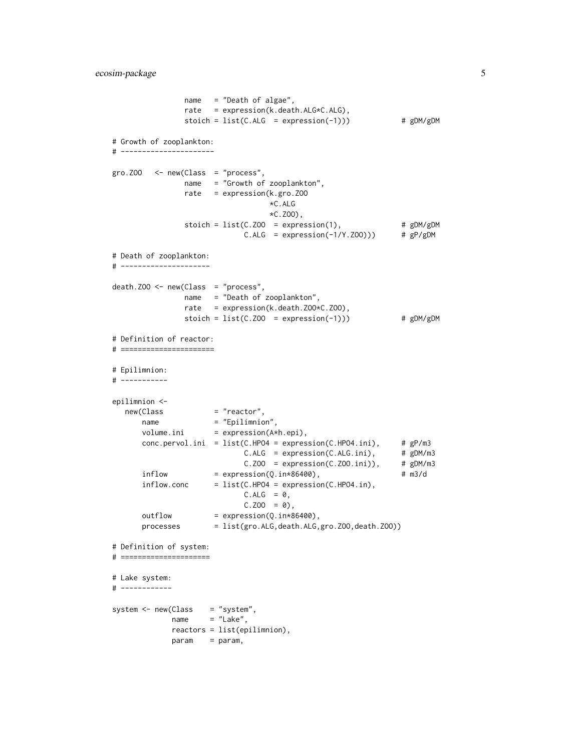```
name = "Death of algae",
               rate = expression(k.death.ALG*C.ALG),
               stoich = list(C.ALG = expression(-1))) # gDM/gDM# Growth of zooplankton:
# ----------------------
gro.ZOO <- new(Class = "process",
               name = "Growth of zooplankton",
               rate = expression(k.gro.ZOO
                                 *C.ALG
                                 *C.ZOO),
               stoich = list(C.200 = expression(1), # gDM/gDMC.ALG = expression(-1/Y.Z00)) # gP/gDM# Death of zooplankton:
# ---------------------
death.ZOO <- new(Class = "process",
               name = "Death of zooplankton",
               rate = expression(k.death.ZOO*C.ZOO),
               stoich = list(C.Z00 = expression(-1))) # gDM/gDM# Definition of reactor:
# ======================
# Epilimnion:
# -----------
epilimnion <-
   new(Class = "reactor",
      name = "Epilimnion",
      volume.ini = expression(A*h.epi),
      conc.pervol.ini = list(C.HPO4 = expression(C.HPO4.ini), # gP/m3
                            C.ALG = expression(C.ALG.ini), # gDM/m3<br>C.Z00 = expression(C.Z00.ini)), # gDM/m3C.Z00 = expression(C.Z00.ini)),inflow = expression(Q.in*86400), # m3/d
      inflow.conc = list(C.HPO4 = expression(C.HPO4.in),
                            C.ALG = 0,C.Z00 = 0,
      outflow = expression(Q.in*86400),
      processes = list(gro.ALG,death.ALG,gro.ZOO,death.ZOO))
# Definition of system:
# =====================
# Lake system:
# ------------
system <- new(Class = "system",
            name = "Lake",reactors = list(epilimnion),
            param = param,
```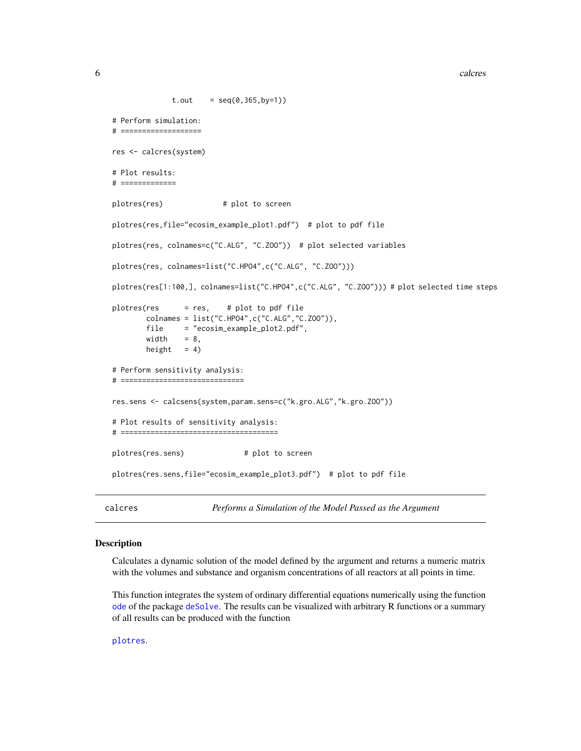```
6 calcres and the contract of the calcres of the calcres of the calcres of the calcres of the calcres of the calcres of the calcres of the calcres of the calcres of the calcres of the calcres of the calcres of the calcres
```

```
t.out = seq(0, 365, by=1))# Perform simulation:
# ===================
res <- calcres(system)
# Plot results:
# =============
plotres(res) # plot to screen
plotres(res,file="ecosim_example_plot1.pdf") # plot to pdf file
plotres(res, colnames=c("C.ALG", "C.ZOO")) # plot selected variables
plotres(res, colnames=list("C.HPO4",c("C.ALG", "C.ZOO")))
plotres(res[1:100,], colnames=list("C.HPO4",c("C.ALG", "C.ZOO"))) # plot selected time steps
plotres(res = res, # plot to pdf file
       colnames = list("C.HPO4",c("C.ALG","C.ZOO")),
       file = "ecosim_example_plot2.pdf",
       width = 8,height = 4)
# Perform sensitivity analysis:
# =============================
res.sens <- calcsens(system,param.sens=c("k.gro.ALG","k.gro.ZOO"))
# Plot results of sensitivity analysis:
# =====================================
plotres(res.sens) # plot to screen
plotres(res.sens,file="ecosim_example_plot3.pdf") # plot to pdf file
```
<span id="page-5-1"></span>calcres *Performs a Simulation of the Model Passed as the Argument*

# Description

Calculates a dynamic solution of the model defined by the argument and returns a numeric matrix with the volumes and substance and organism concentrations of all reactors at all points in time.

This function integrates the system of ordinary differential equations numerically using the function [ode](#page-0-0) of the package [deSolve](#page-0-0). The results can be visualized with arbitrary R functions or a summary of all results can be produced with the function

[plotres](#page-14-1).

<span id="page-5-0"></span>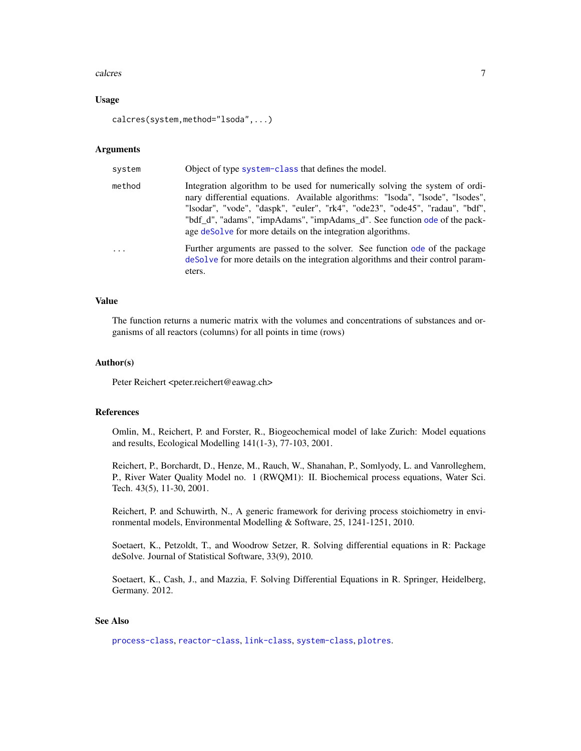# <span id="page-6-0"></span>calcres  $\sim$  7

# Usage

calcres(system,method="lsoda",...)

# Arguments

| system   | Object of type system-class that defines the model.                                                                                                                                                                                                                                                                                                                                        |
|----------|--------------------------------------------------------------------------------------------------------------------------------------------------------------------------------------------------------------------------------------------------------------------------------------------------------------------------------------------------------------------------------------------|
| method   | Integration algorithm to be used for numerically solving the system of ordi-<br>nary differential equations. Available algorithms: "Isoda", "Isode", "Isodes",<br>"lsodar", "vode", "daspk", "euler", "rk4", "ode23", "ode45", "radau", "bdf",<br>"bdf_d", "adams", "impAdams", "impAdams_d". See function ode of the pack-<br>age deSolve for more details on the integration algorithms. |
| $\ddots$ | Further arguments are passed to the solver. See function ode of the package<br>deSolve for more details on the integration algorithms and their control param-<br>eters.                                                                                                                                                                                                                   |

# Value

The function returns a numeric matrix with the volumes and concentrations of substances and organisms of all reactors (columns) for all points in time (rows)

#### Author(s)

Peter Reichert <peter.reichert@eawag.ch>

# References

Omlin, M., Reichert, P. and Forster, R., Biogeochemical model of lake Zurich: Model equations and results, Ecological Modelling 141(1-3), 77-103, 2001.

Reichert, P., Borchardt, D., Henze, M., Rauch, W., Shanahan, P., Somlyody, L. and Vanrolleghem, P., River Water Quality Model no. 1 (RWQM1): II. Biochemical process equations, Water Sci. Tech. 43(5), 11-30, 2001.

Reichert, P. and Schuwirth, N., A generic framework for deriving process stoichiometry in environmental models, Environmental Modelling & Software, 25, 1241-1251, 2010.

Soetaert, K., Petzoldt, T., and Woodrow Setzer, R. Solving differential equations in R: Package deSolve. Journal of Statistical Software, 33(9), 2010.

Soetaert, K., Cash, J., and Mazzia, F. Solving Differential Equations in R. Springer, Heidelberg, Germany. 2012.

# See Also

[process-class](#page-18-1), [reactor-class](#page-22-1), [link-class](#page-13-1), [system-class](#page-25-1), [plotres](#page-14-1).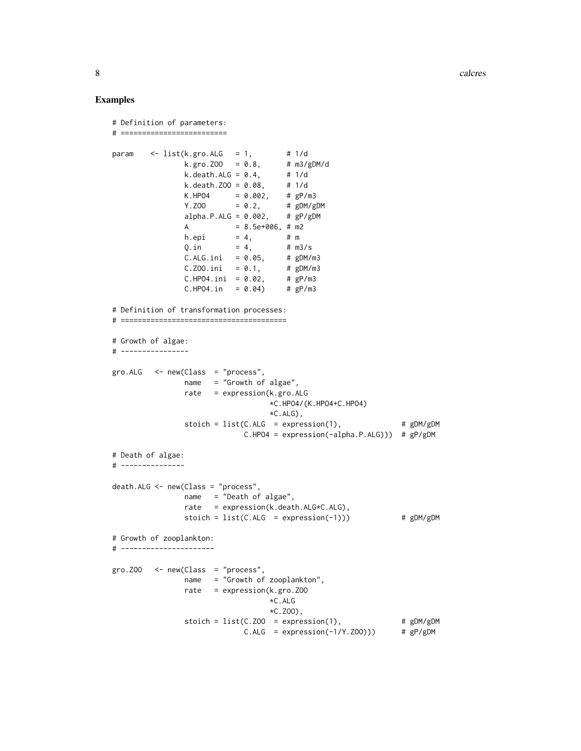8 calcres and the contract of the contract of the contract of the contract of the contract of the contract of the contract of the contract of the contract of the contract of the contract of the contract of the contract of

```
# Definition of parameters:
# =========================
param \leq list(k.gro.ALG = 1,
               k.gro.ZOO = 0.8, # m3/gDM/d
               k.death.ALG = 0.4, # 1/dk.death.ZOO = 0.08, # 1/d
               K.HPO4 = 0.002, # gP/m3Y. ZOO = 0.2, # gDM/gDMalpha.P.ALG = 0.002, # gP/gDMA = 8.5e+006, # m2
                       = 4, # m
              h.epi = 4, # m<br>Q.in = 4, # m3/s
               C.ALG.ini = 0.05, # gDM/m3C.Z00.ini = 0.1, # gDM/m3
               C.HPO4.ini = 0.02, # gP/m3C.HPO4.in = 0.04 # gP/m3
# Definition of transformation processes:
# =======================================
# Growth of algae:
# ----------------
gro.ALG <- new(Class = "process",
               name = "Growth of algae",
               rate = expression(k.gro.ALG
                                 *C.HPO4/(K.HPO4+C.HPO4)
                                 *C.ALG),
               stoich = list(C.ALG = expression(1), # gDM/gDMC.HPO4 = expression(-alpha.P.ALG))) # gP/gDM
# Death of algae:
# ---------------
death.ALG <- new(Class = "process",
               name = "Death of algae",
               rate = expression(k.death.ALG*C.ALG),
               stoich = list(C.ALG = expression(-1)) # gDM/gDM# Growth of zooplankton:
# ----------------------
gro. ZOO < - new(Class = "process",name = "Growth of zooplankton",
               rate = expression(k.gro.ZOO
                                *C.ALG
                                 *C.ZOO),
               stoich = list(C.Z00 = expression(1), # gDM/gDMC.ALG = expression(-1/Y.ZOO))) # gP/gDM
```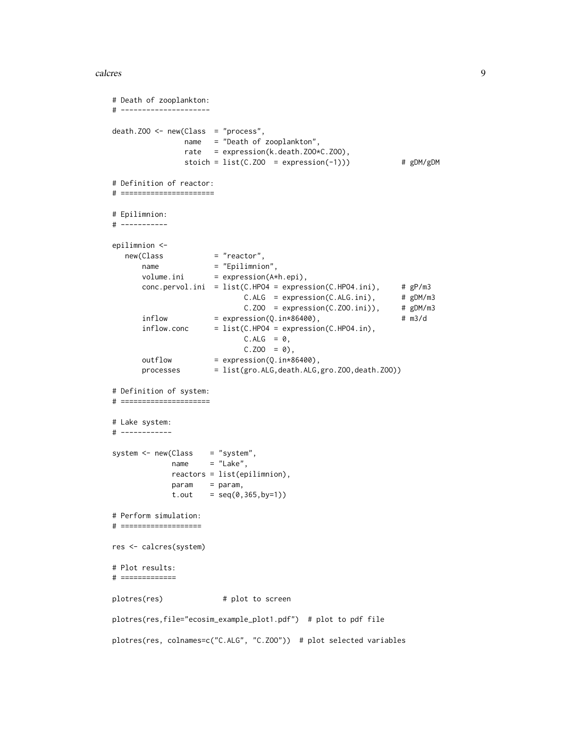# calcres **9**

```
# Death of zooplankton:
# ---------------------
death.Z00 \leq new(Class = "process",name = "Death of zooplankton",
               rate = expression(k.death.ZOO*C.ZOO),
               stoich = list(C.Z00 = expression(-1))) # gDM/gDM# Definition of reactor:
# ======================
# Epilimnion:
# -----------
epilimnion <-
  new(Class = "reactor",
      name = "Epilimnion",
      volume.ini = expression(A*h.epi),
      conc.pervol.ini = list(C.HPO4 = expression(C.HPO4.ini), # gP/m3
                            C.ALG = expression(C.ALG.ini), # gDM/m3C.ZOO = expression(C.ZOO.ini)), # gDM/m3inflow = expression(Q.in*86400), # m3/d
      inflow.conc = list(C.HPO4 = expression(C.HPO4.in),
                            C.ALG = 0,C.Z00 = 0,
      outflow = expression(Q.in*86400),
      processes = list(gro.ALG,death.ALG,gro.ZOO,death.ZOO))
# Definition of system:
# =====================
# Lake system:
# ------------
system \leq new(Class = "system",
            name = "Lake",
            reactors = list(epilimnion),
            param = param,
            t.out = seq(0, 365, by=1))# Perform simulation:
# ===================
res <- calcres(system)
# Plot results:
# =============
plotres(res) # plot to screen
plotres(res,file="ecosim_example_plot1.pdf") # plot to pdf file
plotres(res, colnames=c("C.ALG", "C.ZOO")) # plot selected variables
```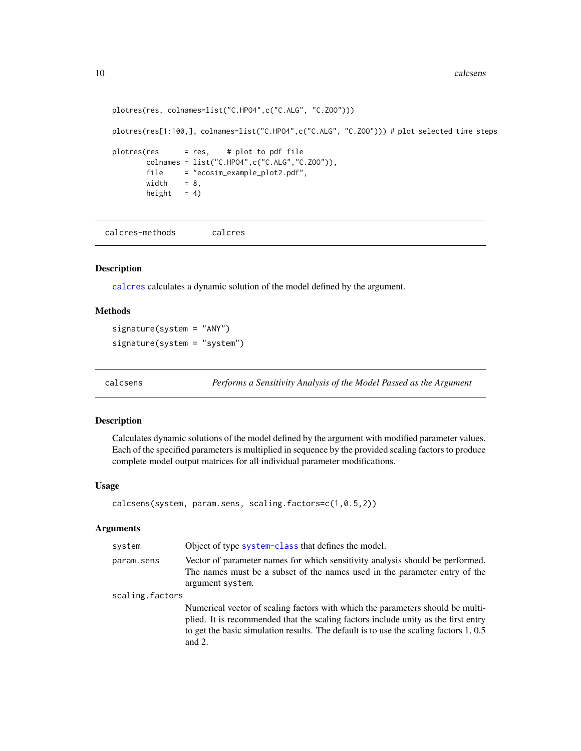```
plotres(res, colnames=list("C.HPO4",c("C.ALG", "C.ZOO")))
plotres(res[1:100,], colnames=list("C.HPO4",c("C.ALG", "C.ZOO"))) # plot selected time steps
plotres(res = res, # plot to pdf file
       colnames = list("C.HPO4",c("C.ALG","C.ZOO")),
       file = "ecosim_example_plot2.pdf",
       width = 8,
       height = 4)
```
<span id="page-9-2"></span>calcres-methods calcres

# Description

[calcres](#page-5-1) calculates a dynamic solution of the model defined by the argument.

# Methods

signature(system = "ANY") signature(system = "system")

<span id="page-9-1"></span>calcsens *Performs a Sensitivity Analysis of the Model Passed as the Argument*

# Description

Calculates dynamic solutions of the model defined by the argument with modified parameter values. Each of the specified parameters is multiplied in sequence by the provided scaling factors to produce complete model output matrices for all individual parameter modifications.

# Usage

```
calcsens(system, param.sens, scaling.factors=c(1,0.5,2))
```
# Arguments

| system          | Object of type system-class that defines the model.                                                                                                                                                                                                                          |
|-----------------|------------------------------------------------------------------------------------------------------------------------------------------------------------------------------------------------------------------------------------------------------------------------------|
| param.sens      | Vector of parameter names for which sensitivity analysis should be performed.<br>The names must be a subset of the names used in the parameter entry of the<br>argument system.                                                                                              |
| scaling.factors |                                                                                                                                                                                                                                                                              |
|                 | Numerical vector of scaling factors with which the parameters should be multi-<br>plied. It is recommended that the scaling factors include unity as the first entry<br>to get the basic simulation results. The default is to use the scaling factors $1, 0.5$<br>and $2$ . |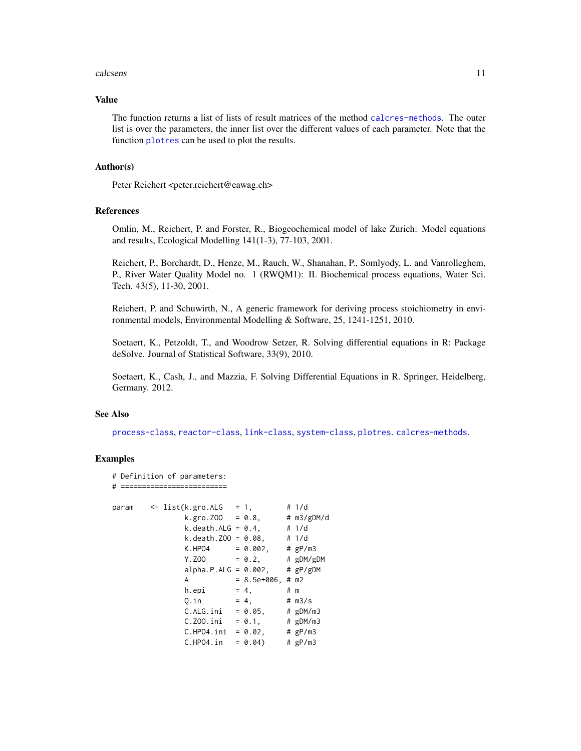# <span id="page-10-0"></span>calcsens 11

## Value

The function returns a list of lists of result matrices of the method [calcres-methods](#page-9-2). The outer list is over the parameters, the inner list over the different values of each parameter. Note that the function [plotres](#page-14-1) can be used to plot the results.

# Author(s)

Peter Reichert <peter.reichert@eawag.ch>

# References

Omlin, M., Reichert, P. and Forster, R., Biogeochemical model of lake Zurich: Model equations and results, Ecological Modelling 141(1-3), 77-103, 2001.

Reichert, P., Borchardt, D., Henze, M., Rauch, W., Shanahan, P., Somlyody, L. and Vanrolleghem, P., River Water Quality Model no. 1 (RWQM1): II. Biochemical process equations, Water Sci. Tech. 43(5), 11-30, 2001.

Reichert, P. and Schuwirth, N., A generic framework for deriving process stoichiometry in environmental models, Environmental Modelling & Software, 25, 1241-1251, 2010.

Soetaert, K., Petzoldt, T., and Woodrow Setzer, R. Solving differential equations in R: Package deSolve. Journal of Statistical Software, 33(9), 2010.

Soetaert, K., Cash, J., and Mazzia, F. Solving Differential Equations in R. Springer, Heidelberg, Germany. 2012.

#### See Also

[process-class](#page-18-1), [reactor-class](#page-22-1), [link-class](#page-13-1), [system-class](#page-25-1), [plotres](#page-14-1). [calcres-methods](#page-9-2).

```
# Definition of parameters:
# =========================
param \le list(k.gro.ALG = 1, # 1/d
                 k.gro. ZOO = 0.8, # m3/gDM/dk. death.ALG = 0.4, # 1/dk. death. Z00 = 0.08, # 1/dK.HPO4 = 0.002, # gP/m3<br>Y.ZOO = 0.2, # gDM/gY. ZOO = 0.2, # gDM/gDMalpha.P.ALG = 0.002, # gP/gDMA = 8.5e+006, \# m2h.epi = 4, # mQ.in = 4, \# m3/s<br>C.ALG.ini = 0.05, \# gDM/m3
                 C.ALG.ini = 0.05, # gDM/m3<br>C.Z00.ini = 0.1, # gDM/m3
                 C.ZOO.ini = 0.1, # gDM/m<br>C.HPO4.ini = 0.02, # gP/m3
                 C.HPO4.ini = 0.02,C.HPO4.in = 0.04 # gP/m3
```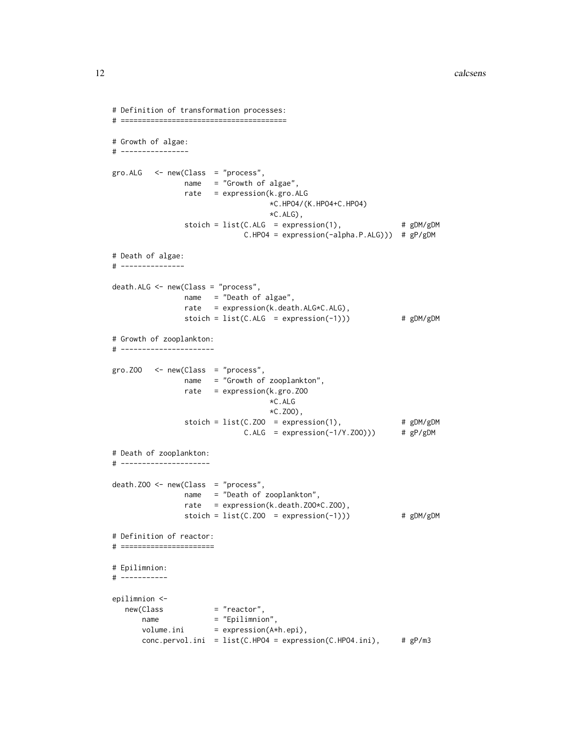```
# Definition of transformation processes:
# =======================================
# Growth of algae:
# ----------------
gro.ALG < -new(Class = "process",name = "Growth of algae",
                 rate = expression(k.gro.ALG
                                     *C.HPO4/(K.HPO4+C.HPO4)
                                     *C.ALG),
                 stoich = list(C.ALG = expression(1), # gDM/gDMC.HPO4 = expression(-alpha.P.ALG))) # gP/gDM
# Death of algae:
# ---------------
death.ALG <- new(Class = "process",
                 name = "Death of algae",
                 rate = expression(k.death.ALG*C.ALG),
                 stoich = list(C.ALG = expression(-1))) # gDM/gDM# Growth of zooplankton:
# ----------------------
gro. Z00 < - new(Class = "process",name = "Growth of zooplankton",
                 rate = expression(k.gro.ZOO
                                     *C.ALG
                                     *C.ZOO),
                 stoich = list(C.ZOO = expression(1), # gDM/gDM\begin{array}{rcl} \text{(c.200)} &=& \text{expression}(1), & \text{# gDM/gDM} \\ \text{C.ALG} &=& \text{expression}(-1/Y, Z00))) & \text{# gP/gDM} \end{array}# Death of zooplankton:
# ---------------------
death.ZOO <- new(Class = "process",
                 name = "Death of zooplankton",
                 rate = expression(k.death.ZOO*C.ZOO),
                 stoich = list(C.Z00 = expression(-1))) # gDM/gDM# Definition of reactor:
# ======================
# Epilimnion:
# -----------
epilimnion <-
  new(Class = "reactor",
       name = "Epilimnion",
       volume.ini = expression(A*h.epi),
       conc.pervol.ini = list(C.HPO4 = expression(C.HPO4.ini), # gP/m3
```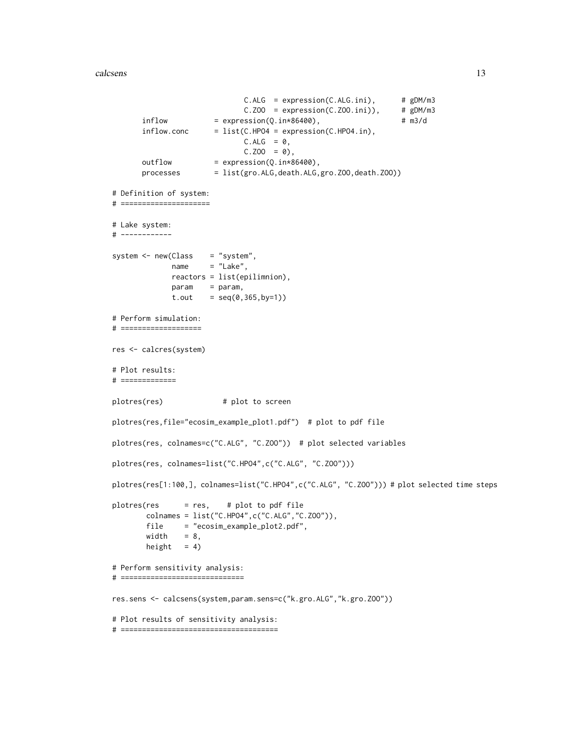# calcsens and the contract of the contract of the contract of the contract of the contract of the contract of the contract of the contract of the contract of the contract of the contract of the contract of the contract of t

```
C.ALG = expression(C.ALG.ini), # gDM/m3C.Z00 = expression(C.Z00.ini)), # gDM/m3inflow = expression(Q.in*86400), # m3/d
      inflow.conc = list(C.HPO4 = expression(C.HPO4.in),
                            C.ALG = 0,C.Z00 = 0,
      outflow = expression(Q.in*86400),
      processes = list(gro.ALG,death.ALG,gro.ZOO,death.ZOO))
# Definition of system:
# =====================
# Lake system:
# ------------
system <- new(Class = "system",
            name = "Lake",
            reactors = list(epilimnion),
            param = param,
             t.out = seq(0, 365, by=1))# Perform simulation:
# ===================
res <- calcres(system)
# Plot results:
# =============
plotres(res) # plot to screen
plotres(res,file="ecosim_example_plot1.pdf") # plot to pdf file
plotres(res, colnames=c("C.ALG", "C.ZOO")) # plot selected variables
plotres(res, colnames=list("C.HPO4",c("C.ALG", "C.ZOO")))
plotres(res[1:100,], colnames=list("C.HPO4",c("C.ALG", "C.ZOO"))) # plot selected time steps
plotres(res = res, # plot to pdf file
       colnames = list("C.HPO4",c("C.ALG","C.ZOO")),
       file = "ecosim_example_plot2.pdf",
       widthheight = 4)
# Perform sensitivity analysis:
# =============================
res.sens <- calcsens(system,param.sens=c("k.gro.ALG","k.gro.ZOO"))
# Plot results of sensitivity analysis:
# =====================================
```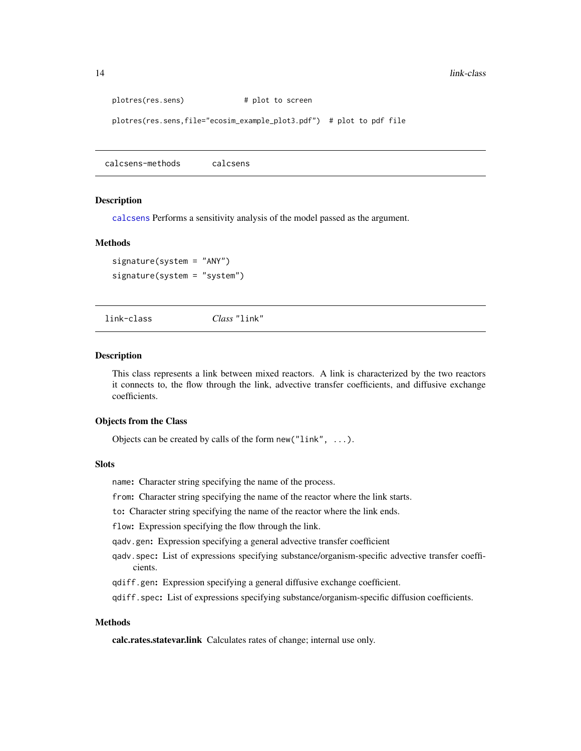```
plotres(res.sens) # plot to screen
plotres(res.sens,file="ecosim_example_plot3.pdf") # plot to pdf file
```
calcsens-methods calcsens

#### **Description**

[calcsens](#page-9-1) Performs a sensitivity analysis of the model passed as the argument.

#### Methods

signature(system = "ANY") signature(system = "system")

<span id="page-13-1"></span>link-class *Class* "link"

# **Description**

This class represents a link between mixed reactors. A link is characterized by the two reactors it connects to, the flow through the link, advective transfer coefficients, and diffusive exchange coefficients.

# Objects from the Class

Objects can be created by calls of the form new("link", ...).

# **Slots**

name: Character string specifying the name of the process.

from: Character string specifying the name of the reactor where the link starts.

to: Character string specifying the name of the reactor where the link ends.

flow: Expression specifying the flow through the link.

qadv.gen: Expression specifying a general advective transfer coefficient

qadv.spec: List of expressions specifying substance/organism-specific advective transfer coefficients.

qdiff.gen: Expression specifying a general diffusive exchange coefficient.

qdiff.spec: List of expressions specifying substance/organism-specific diffusion coefficients.

# Methods

calc.rates.statevar.link Calculates rates of change; internal use only.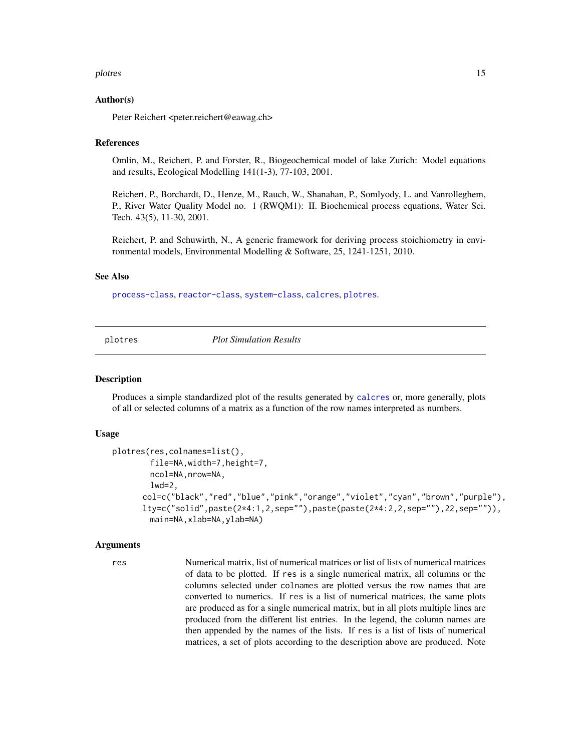# <span id="page-14-0"></span>plotres that the set of the set of the set of the set of the set of the set of the set of the set of the set of the set of the set of the set of the set of the set of the set of the set of the set of the set of the set of

#### Author(s)

Peter Reichert <peter.reichert@eawag.ch>

# References

Omlin, M., Reichert, P. and Forster, R., Biogeochemical model of lake Zurich: Model equations and results, Ecological Modelling 141(1-3), 77-103, 2001.

Reichert, P., Borchardt, D., Henze, M., Rauch, W., Shanahan, P., Somlyody, L. and Vanrolleghem, P., River Water Quality Model no. 1 (RWQM1): II. Biochemical process equations, Water Sci. Tech. 43(5), 11-30, 2001.

Reichert, P. and Schuwirth, N., A generic framework for deriving process stoichiometry in environmental models, Environmental Modelling & Software, 25, 1241-1251, 2010.

# See Also

[process-class](#page-18-1), [reactor-class](#page-22-1), [system-class](#page-25-1), [calcres](#page-5-1), [plotres](#page-14-1).

<span id="page-14-1"></span>plotres *Plot Simulation Results*

# Description

Produces a simple standardized plot of the results generated by [calcres](#page-5-1) or, more generally, plots of all or selected columns of a matrix as a function of the row names interpreted as numbers.

# Usage

```
plotres(res,colnames=list(),
        file=NA,width=7,height=7,
        ncol=NA, nrow=NA,
        1wd=2,
      col=c("black","red","blue","pink","orange","violet","cyan","brown","purple"),
      lty=c("solid",paste(2*4:1,2,sep=""),paste(paste(2*4:2,2,sep=""),22,sep="")),
        main=NA,xlab=NA,ylab=NA)
```
#### Arguments

res Numerical matrix, list of numerical matrices or list of lists of numerical matrices of data to be plotted. If res is a single numerical matrix, all columns or the columns selected under colnames are plotted versus the row names that are converted to numerics. If res is a list of numerical matrices, the same plots are produced as for a single numerical matrix, but in all plots multiple lines are produced from the different list entries. In the legend, the column names are then appended by the names of the lists. If res is a list of lists of numerical matrices, a set of plots according to the description above are produced. Note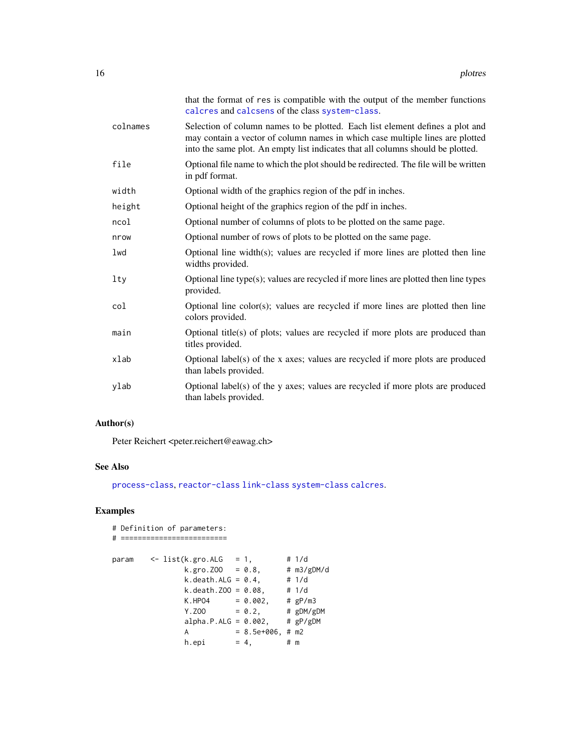<span id="page-15-0"></span>

|          | that the format of res is compatible with the output of the member functions<br>calcres and calcsens of the class system-class.                                                                                                                   |
|----------|---------------------------------------------------------------------------------------------------------------------------------------------------------------------------------------------------------------------------------------------------|
| colnames | Selection of column names to be plotted. Each list element defines a plot and<br>may contain a vector of column names in which case multiple lines are plotted<br>into the same plot. An empty list indicates that all columns should be plotted. |
| file     | Optional file name to which the plot should be redirected. The file will be written<br>in pdf format.                                                                                                                                             |
| width    | Optional width of the graphics region of the pdf in inches.                                                                                                                                                                                       |
| height   | Optional height of the graphics region of the pdf in inches.                                                                                                                                                                                      |
| ncol     | Optional number of columns of plots to be plotted on the same page.                                                                                                                                                                               |
| nrow     | Optional number of rows of plots to be plotted on the same page.                                                                                                                                                                                  |
| lwd      | Optional line width(s); values are recycled if more lines are plotted then line<br>widths provided.                                                                                                                                               |
| lty      | Optional line type(s); values are recycled if more lines are plotted then line types<br>provided.                                                                                                                                                 |
| col      | Optional line $color(s)$ ; values are recycled if more lines are plotted then line<br>colors provided.                                                                                                                                            |
| main     | Optional title(s) of plots; values are recycled if more plots are produced than<br>titles provided.                                                                                                                                               |
| xlab     | Optional label(s) of the x axes; values are recycled if more plots are produced<br>than labels provided.                                                                                                                                          |
| ylab     | Optional label(s) of the y axes; values are recycled if more plots are produced<br>than labels provided.                                                                                                                                          |

# Author(s)

Peter Reichert <peter.reichert@eawag.ch>

# See Also

[process-class](#page-18-1), [reactor-class](#page-22-1) [link-class](#page-13-1) [system-class](#page-25-1) [calcres](#page-5-1).

```
# Definition of parameters:
# =========================
param \leq list(k.gro.ALG = 1,
              k.gro.ZOO = 0.8, # m3/gDM/d
              k. death.ALG = 0.4, # 1/dk.death.ZOO = 0.08, # 1/d
              K.HPO4 = 0.002, # gP/m3Y. ZOO = 0.2, # gDM/gDMalpha.P.ALG = 0.002, # gP/gDMA = 8.5e+006, # m2
             h.epi = 4, # m
```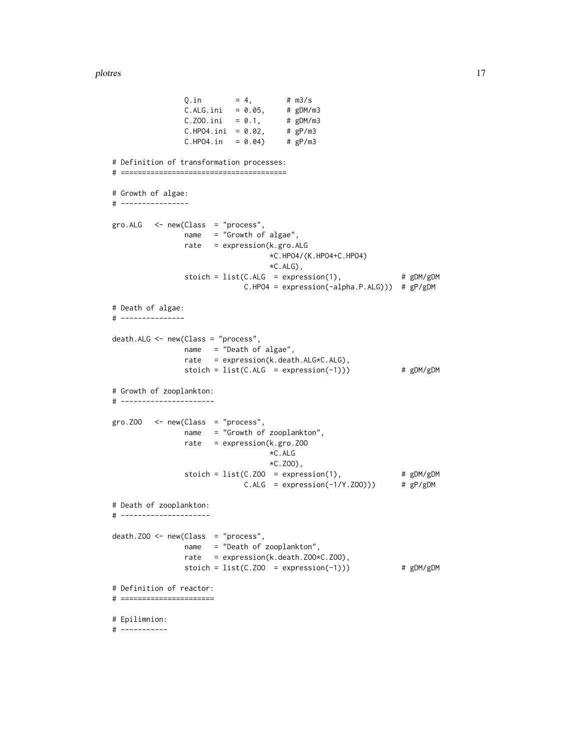# plotres and the set of the set of the set of the set of the set of the set of the set of the set of the set of the set of the set of the set of the set of the set of the set of the set of the set of the set of the set of t

 $C.ALG.ini = 0.05, # gDM/m3$  $C.ZOO.ini = 0.1, # gDM/m3$ C.Z00.ini =  $0.1$ , # gDM/m3<br>C.HPO4.ini =  $0.02$ , # gP/m3  $C.HPO4.in = 0.04$  #  $gP/m3$ # Definition of transformation processes: # ======================================= # Growth of algae: # --------------- gro.ALG <- new(Class = "process", name = "Growth of algae", rate = expression(k.gro.ALG \*C.HPO4/(K.HPO4+C.HPO4) \*C.ALG), stoich =  $list(C.ALG = expression(1),$  #  $gDM/gDM$ C.HPO4 = expression(-alpha.P.ALG))) # gP/gDM # Death of algae: # -------------- death.ALG <- new(Class = "process", name = "Death of algae", rate = expression(k.death.ALG\*C.ALG), stoich =  $list(C.ALG = expression(-1)))$  #  $gDM/gDM$ # Growth of zooplankton: # --------------------- gro.ZOO <- new(Class = "process", name = "Growth of zooplankton", rate = expression(k.gro.ZOO \*C.ALG \*C.ZOO),  $stoich = list(C.Z00 = expression(1),$  #  $gDM/gDM$ C.ALG = expression(-1/Y.ZOO))) # gP/gDM # Death of zooplankton: # -------------------- death.ZOO <- new(Class = "process", name = "Death of zooplankton", rate = expression(k.death.ZOO\*C.ZOO), stoich =  $list(C.Z00 = expression(-1)))$  #  $gDM/gDM$ # Definition of reactor: # ====================== # Epilimnion: # -----------

 $Q.in = 4, # m3/s$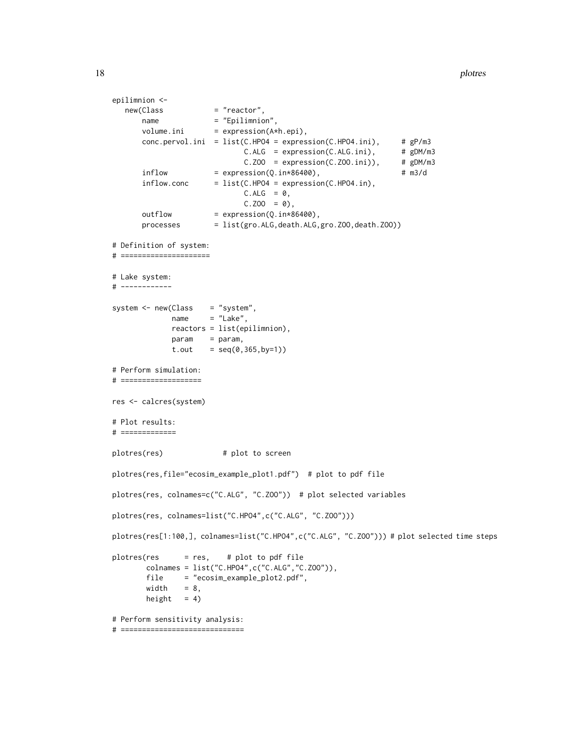18 plottes and the plottes of the plottes of the plottes of the plottes of the plottes of the plottes of the plottes of the plottes of the plottes of the plottes of the plottes of the plottes of the plottes of the plottes

```
epilimnion <-
  new(Class = "reactor",
      name = "Epilimnion",
      volume.ini = expression(A*h.epi),
      conc.pervol.ini = list(C.HPO4 = expression(C.HPO4.ini), # gP/m3
                           C.ALG = expression(C.ALG.ini), # gDM/m3C.ZOO = expression(C.ZOO.ini)), # gDM/m3inflow = expression(Q.in*86400), # m3/dinflow.conc = list(C.HPO4 = expression(C.HPO4.in),
                           C.ALG = 0,C.Z00 = 0,
      outflow = expression(Q.in*86400),
      processes = list(gro.ALG,death.ALG,gro.ZOO,death.ZOO))
# Definition of system:
# =====================
# Lake system:
# ------------
system <- new(Class = "system",
            name = "Lake",reactors = list(epilimnion),
            param = param,
            t.out = seq(0, 365, by=1))# Perform simulation:
# ===================
res <- calcres(system)
# Plot results:
# =============
plotres(res) # plot to screen
plotres(res,file="ecosim_example_plot1.pdf") # plot to pdf file
plotres(res, colnames=c("C.ALG", "C.ZOO")) # plot selected variables
plotres(res, colnames=list("C.HPO4",c("C.ALG", "C.ZOO")))
plotres(res[1:100,], colnames=list("C.HPO4",c("C.ALG", "C.ZOO"))) # plot selected time steps
plots = res, # plot to pdf filecolnames = list("C.HPO4",c("C.ALG","C.ZOO")),
       file = "ecosim_example_plot2.pdf",
       width = 8,
       height = 4)
# Perform sensitivity analysis:
# =============================
```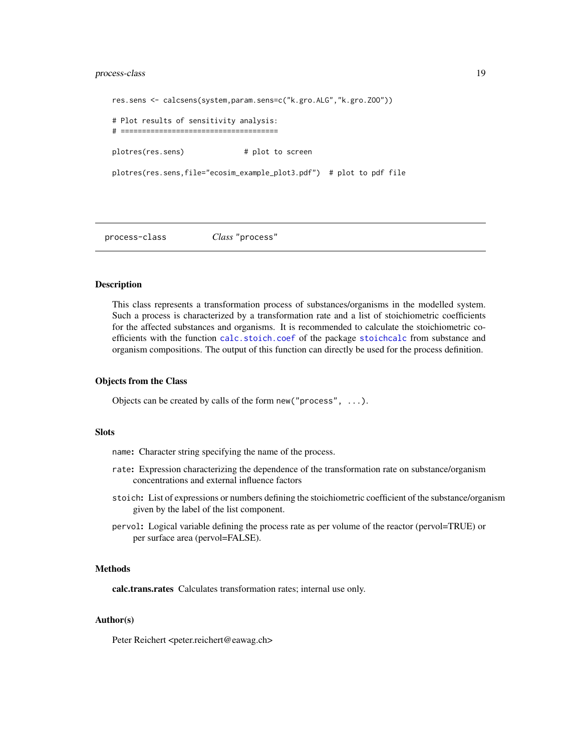# <span id="page-18-0"></span>process-class 19

```
res.sens <- calcsens(system,param.sens=c("k.gro.ALG","k.gro.ZOO"))
# Plot results of sensitivity analysis:
# =====================================
plotres(res.sens) # plot to screen
plotres(res.sens,file="ecosim_example_plot3.pdf") # plot to pdf file
```
<span id="page-18-1"></span>process-class *Class* "process"

# Description

This class represents a transformation process of substances/organisms in the modelled system. Such a process is characterized by a transformation rate and a list of stoichiometric coefficients for the affected substances and organisms. It is recommended to calculate the stoichiometric coefficients with the function [calc.stoich.coef](#page-0-0) of the package [stoichcalc](#page-0-0) from substance and organism compositions. The output of this function can directly be used for the process definition.

# Objects from the Class

Objects can be created by calls of the form new("process", ...).

# **Slots**

name: Character string specifying the name of the process.

- rate: Expression characterizing the dependence of the transformation rate on substance/organism concentrations and external influence factors
- stoich: List of expressions or numbers defining the stoichiometric coefficient of the substance/organism given by the label of the list component.
- pervol: Logical variable defining the process rate as per volume of the reactor (pervol=TRUE) or per surface area (pervol=FALSE).

# Methods

calc.trans.rates Calculates transformation rates; internal use only.

# Author(s)

Peter Reichert <peter.reichert@eawag.ch>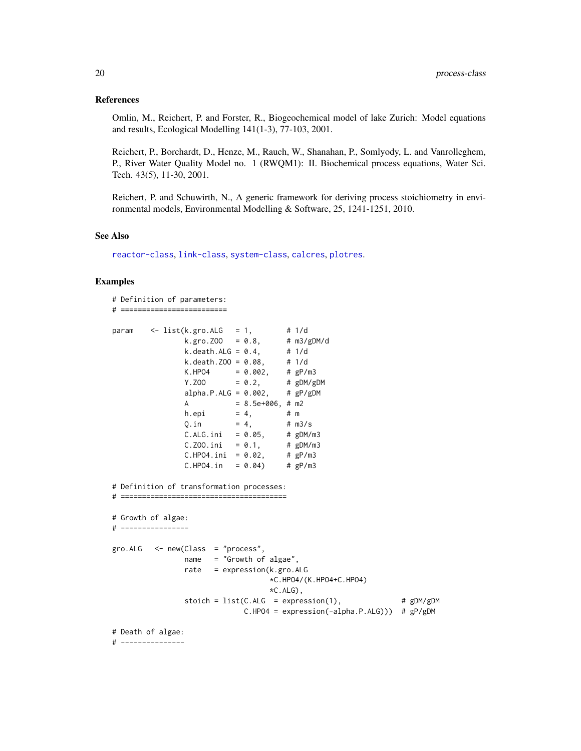# <span id="page-19-0"></span>References

Omlin, M., Reichert, P. and Forster, R., Biogeochemical model of lake Zurich: Model equations and results, Ecological Modelling 141(1-3), 77-103, 2001.

Reichert, P., Borchardt, D., Henze, M., Rauch, W., Shanahan, P., Somlyody, L. and Vanrolleghem, P., River Water Quality Model no. 1 (RWQM1): II. Biochemical process equations, Water Sci. Tech. 43(5), 11-30, 2001.

Reichert, P. and Schuwirth, N., A generic framework for deriving process stoichiometry in environmental models, Environmental Modelling & Software, 25, 1241-1251, 2010.

#### See Also

[reactor-class](#page-22-1), [link-class](#page-13-1), [system-class](#page-25-1), [calcres](#page-5-1), [plotres](#page-14-1).

```
# Definition of parameters:
# =========================
param <- list(k.gro.ALG = 1, # 1/d
                k.gro.ZOO = 0.8, # m3/gDM/d
               k. death.ALG = 0.4, # 1/dk. death. Z00 = 0.08, # 1/dK.HPO4 = 0.002, # gP/m3Y. ZOO = 0.2, # gDM/gDMalpha.P.ALG = 0.002, # gP/gDMA = 8.5e+006, # m2
               h.epi = 4, # mQ.in = 4, # m3/sC.ALG.ini = 0.05, # gDM/m3<br>C.Z00.ini = 0.1, # gDM/m3C.ZOO.ini = 0.1, # gDM/m3<br>C.HPO4.ini = 0.02, # gP/m3
               C.HPO4.ini = 0.02,C.HPO4.in = 0.04 # gP/m3
# Definition of transformation processes:
# =======================================
# Growth of algae:
# ----------------
gro.ALG < -new(Class = "process",name = "Growth of algae",
               rate = expression(k.gro.ALG
                                  *C.HPO4/(K.HPO4+C.HPO4)
                                  *C.ALG),
               stoich = list(C.ALG = expression(1), # gDM/gDMC.HPO4 = expression(-alpha.P.ALG))) # gP/gDM
# Death of algae:
# ---------------
```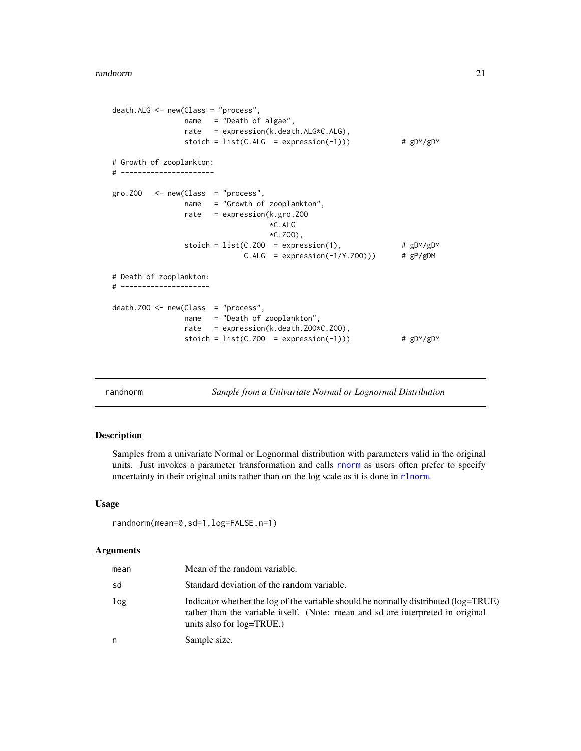```
death.ALG <- new(Class = "process",
                name = "Death of algae",
                rate = expression(k.death.ALG*C.ALG),
                stoich = list(C.ALG = expression(-1))) # gDM/gDM# Growth of zooplankton:
# ----------------------
gro. ZOO < - new(Class = "process",name = "Growth of zooplankton",
                rate = expression(k.gro.ZOO
                                    *C.ALG
                                    *C.ZOO),
                stoich = list(C.ZOO = expression(1), # gDM/gDM<br>C.ALG = expression(-1/Y.ZOO))) # gP/gDMC.ALG = expression(-1/Y.Z00)) # gP/gDM# Death of zooplankton:
# ---------------------
death.ZOO <- new(Class = "process",
                name = "Death of zooplankton",
                rate = expression(k.death.ZOO*C.ZOO),
                stoich = list(C.ZOO = expression(-1))) # gDM/gDM
```
<span id="page-20-1"></span>randnorm *Sample from a Univariate Normal or Lognormal Distribution*

# Description

Samples from a univariate Normal or Lognormal distribution with parameters valid in the original units. Just invokes a parameter transformation and calls [rnorm](#page-0-0) as users often prefer to specify uncertainty in their original units rather than on the log scale as it is done in [rlnorm](#page-0-0).

# Usage

```
randnorm(mean=0,sd=1,log=FALSE,n=1)
```
# Arguments

| mean | Mean of the random variable.                                                                                                                                                                        |
|------|-----------------------------------------------------------------------------------------------------------------------------------------------------------------------------------------------------|
| sd   | Standard deviation of the random variable.                                                                                                                                                          |
| log  | Indicator whether the log of the variable should be normally distributed (log=TRUE)<br>rather than the variable itself. (Note: mean and sd are interpreted in original<br>units also for log=TRUE.) |
| n    | Sample size.                                                                                                                                                                                        |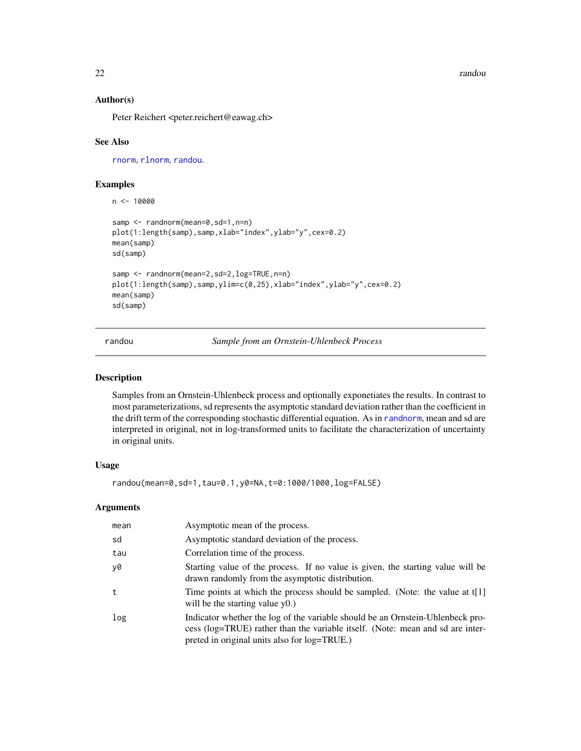<span id="page-21-0"></span>22 *randou randou randou randou randou randou randou randou randou* 

# Author(s)

Peter Reichert <peter.reichert@eawag.ch>

# See Also

[rnorm](#page-0-0), [rlnorm](#page-0-0), [randou](#page-21-1).

# Examples

```
n < -10000samp <- randnorm(mean=0,sd=1,n=n)
plot(1:length(samp),samp,xlab="index",ylab="y",cex=0.2)
mean(samp)
sd(samp)
samp <- randnorm(mean=2,sd=2,log=TRUE,n=n)
plot(1:length(samp),samp,ylim=c(0,25),xlab="index",ylab="y",cex=0.2)
mean(samp)
sd(samp)
```
<span id="page-21-1"></span>randou *Sample from an Ornstein-Uhlenbeck Process*

#### Description

Samples from an Ornstein-Uhlenbeck process and optionally exponetiates the results. In contrast to most parameterizations, sd represents the asymptotic standard deviation rather than the coefficient in the drift term of the corresponding stochastic differential equation. As in [randnorm](#page-20-1), mean and sd are interpreted in original, not in log-transformed units to facilitate the characterization of uncertainty in original units.

# Usage

randou(mean=0,sd=1,tau=0.1,y0=NA,t=0:1000/1000,log=FALSE)

# Arguments

| mean | Asymptotic mean of the process.                                                                                                                                                                                  |
|------|------------------------------------------------------------------------------------------------------------------------------------------------------------------------------------------------------------------|
| sd   | Asymptotic standard deviation of the process.                                                                                                                                                                    |
| tau  | Correlation time of the process.                                                                                                                                                                                 |
| y0   | Starting value of the process. If no value is given, the starting value will be<br>drawn randomly from the asymptotic distribution.                                                                              |
| t    | Time points at which the process should be sampled. (Note: the value at t[1]<br>will be the starting value $y(0)$ .                                                                                              |
| log  | Indicator whether the log of the variable should be an Ornstein-Uhlenbeck pro-<br>cess (log=TRUE) rather than the variable itself. (Note: mean and sd are inter-<br>preted in original units also for log=TRUE.) |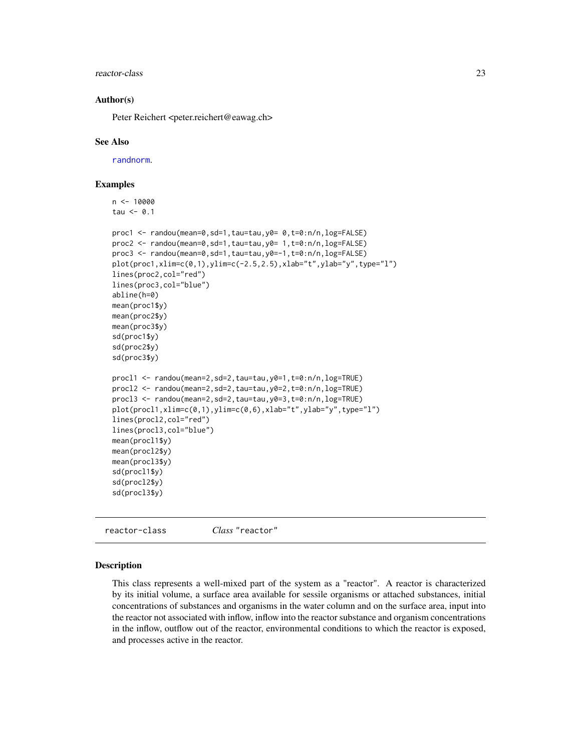# <span id="page-22-0"></span>reactor-class 23

# Author(s)

Peter Reichert <peter.reichert@eawag.ch>

# See Also

[randnorm](#page-20-1).

 $n < - 10000$ 

# Examples

```
tau <-0.1proc1 <- randou(mean=0,sd=1,tau=tau,y0= 0,t=0:n/n,log=FALSE)
proc2 <- randou(mean=0,sd=1,tau=tau,y0= 1,t=0:n/n,log=FALSE)
proc3 <- randou(mean=0,sd=1,tau=tau,y0=-1,t=0:n/n,log=FALSE)
plot(proc1,xlim=c(0,1),ylim=c(-2.5,2.5),xlab="t",ylab="y",type="l")
lines(proc2,col="red")
lines(proc3,col="blue")
abline(h=0)
mean(proc1$y)
mean(proc2$y)
mean(proc3$y)
sd(proc1$y)
sd(proc2$y)
sd(proc3$y)
procl1 <- randou(mean=2,sd=2,tau=tau,y0=1,t=0:n/n,log=TRUE)
procl2 <- randou(mean=2,sd=2,tau=tau,y0=2,t=0:n/n,log=TRUE)
procl3 <- randou(mean=2,sd=2,tau=tau,y0=3,t=0:n/n,log=TRUE)
plot(procl1,xlim=c(0,1),ylim=c(0,6),xlab="t",ylab="y",type="l")
lines(procl2,col="red")
lines(procl3,col="blue")
mean(procl1$y)
mean(procl2$y)
mean(procl3$y)
sd(procl1$y)
sd(procl2$y)
sd(procl3$y)
```
<span id="page-22-1"></span>reactor-class *Class* "reactor"

# Description

This class represents a well-mixed part of the system as a "reactor". A reactor is characterized by its initial volume, a surface area available for sessile organisms or attached substances, initial concentrations of substances and organisms in the water column and on the surface area, input into the reactor not associated with inflow, inflow into the reactor substance and organism concentrations in the inflow, outflow out of the reactor, environmental conditions to which the reactor is exposed, and processes active in the reactor.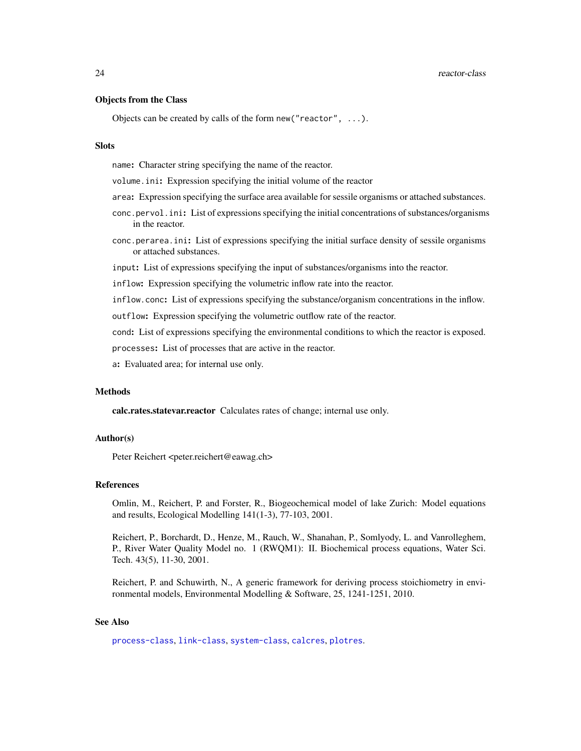# <span id="page-23-0"></span>24 reactor-class and the contract of the contract of the contract of the contract of the contract of the contract of the contract of the contract of the contract of the contract of the contract of the contract of the contr

# Objects from the Class

Objects can be created by calls of the form new("reactor", ...).

# **Slots**

name: Character string specifying the name of the reactor.

volume.ini: Expression specifying the initial volume of the reactor

- area: Expression specifying the surface area available for sessile organisms or attached substances.
- conc.pervol.ini: List of expressions specifying the initial concentrations of substances/organisms in the reactor.
- conc.perarea.ini: List of expressions specifying the initial surface density of sessile organisms or attached substances.
- input: List of expressions specifying the input of substances/organisms into the reactor.
- inflow: Expression specifying the volumetric inflow rate into the reactor.
- inflow.conc: List of expressions specifying the substance/organism concentrations in the inflow.
- outflow: Expression specifying the volumetric outflow rate of the reactor.
- cond: List of expressions specifying the environmental conditions to which the reactor is exposed.

processes: List of processes that are active in the reactor.

a: Evaluated area; for internal use only.

# Methods

calc.rates.statevar.reactor Calculates rates of change; internal use only.

# Author(s)

Peter Reichert <peter.reichert@eawag.ch>

# References

Omlin, M., Reichert, P. and Forster, R., Biogeochemical model of lake Zurich: Model equations and results, Ecological Modelling 141(1-3), 77-103, 2001.

Reichert, P., Borchardt, D., Henze, M., Rauch, W., Shanahan, P., Somlyody, L. and Vanrolleghem, P., River Water Quality Model no. 1 (RWQM1): II. Biochemical process equations, Water Sci. Tech. 43(5), 11-30, 2001.

Reichert, P. and Schuwirth, N., A generic framework for deriving process stoichiometry in environmental models, Environmental Modelling & Software, 25, 1241-1251, 2010.

# See Also

[process-class](#page-18-1), [link-class](#page-13-1), [system-class](#page-25-1), [calcres](#page-5-1), [plotres](#page-14-1).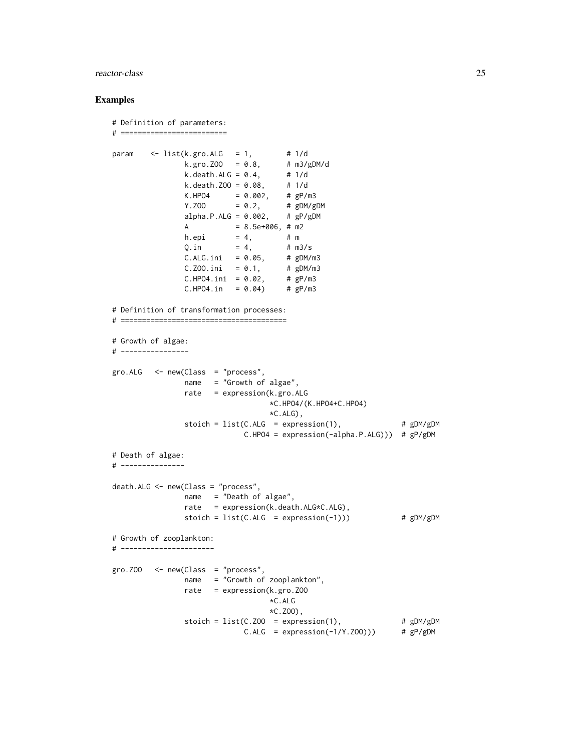# reactor-class 25

```
# Definition of parameters:
# =========================
param \leq list(k.gro.ALG = 1,
               k.gro.ZOO = 0.8, # m3/gDM/d
               k.death.ALG = 0.4, # 1/dk.death.ZOO = 0.08, # 1/d
               K.HPO4 = 0.002, # gP/m3Y. ZOO = 0.2, # gDM/gDMalpha.P.ALG = 0.002, # gP/gDMA = 8.5e+006, # m2
               h.epi = 4, # m
               Q.in = 4, # m3/sC.ALG.ini = 0.05, # gDM/m3C.Z00.ini = 0.1, # gDM/m3C.HPO4.ini = 0.02, # gP/m3C.HPO4.in = 0.04) # gP/m3
# Definition of transformation processes:
# =======================================
# Growth of algae:
# ----------------
gro.ALG <- new(Class = "process",
              name = "Growth of algae",
              rate = expression(k.gro.ALG
                                *C.HPO4/(K.HPO4+C.HPO4)
                                *C.ALG),
              stoich = list(C.ALG = expression(1), # gDM/gDMC.HPO4 = expression(-alpha.P.ALG))) # gP/gDM
# Death of algae:
# ---------------
death.ALG <- new(Class = "process",
              name = "Death of algae",
              rate = expression(k.death.ALG*C.ALG),
              stoich = list(C.ALG = expression(-1)) # gDM/gDM# Growth of zooplankton:
# ----------------------
gro. ZOO < - new(Class = "process",name = "Growth of zooplankton",
              rate = expression(k.gro.ZOO
                                *C.ALG
                                *C.ZOO),
               stoich = list(C.Z00 = expression(1), # gDM/gDMC.ALG = expression(-1/Y.ZOO))) # gP/gDM
```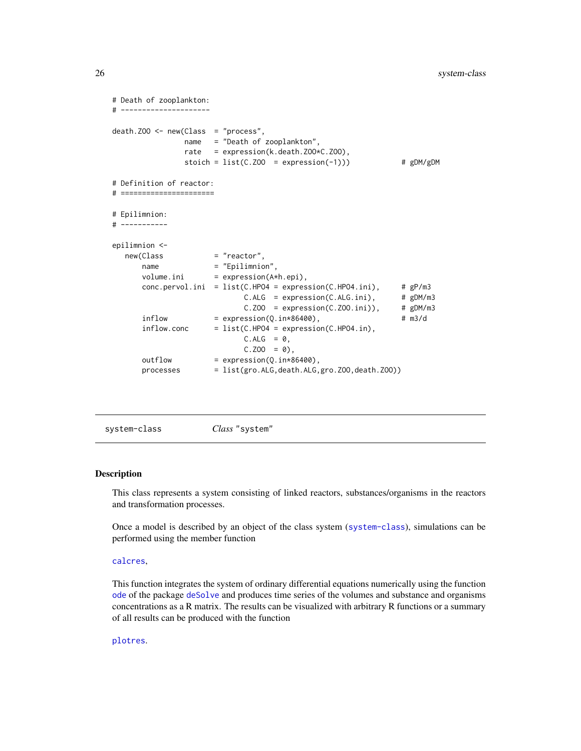```
# Death of zooplankton:
# ---------------------
death.Z00 \leq new(Class = "process",name = "Death of zooplankton",
              rate = expression(k.death.ZOO*C.ZOO),
              stoich = list(C.Z00 = expression(-1))) # gDM/gDM# Definition of reactor:
# ======================
# Epilimnion:
# -----------
epilimnion <-
  new(Class = "reactor",
      name = "Epilimnion",
      volume.ini = expression(A*h.epi),
      conc.pervol.ini = list(C.HPO4 = expression(C.HPO4.ini), # gP/m3
                           C.ALG = expression(C.ALG.ini), # gDM/m3C.ZOO = expression(C.ZOO.ini)), # gDM/m3inflow = expression(Q.in*86400), # m3/d
      inflow.conc = list(C.HPO4 = expression(C.HPO4.in),
                           C.ALG = 0,
                           C.Z00 = 0,
      outflow = expression(Q.in*86400),
      processes = list(gro.ALG,death.ALG,gro.ZOO,death.ZOO))
```
<span id="page-25-1"></span>system-class *Class* "system"

# Description

This class represents a system consisting of linked reactors, substances/organisms in the reactors and transformation processes.

Once a model is described by an object of the class system ([system-class](#page-25-1)), simulations can be performed using the member function

#### [calcres](#page-5-1),

This function integrates the system of ordinary differential equations numerically using the function [ode](#page-0-0) of the package [deSolve](#page-0-0) and produces time series of the volumes and substance and organisms concentrations as a R matrix. The results can be visualized with arbitrary R functions or a summary of all results can be produced with the function

# [plotres](#page-14-1).

<span id="page-25-0"></span>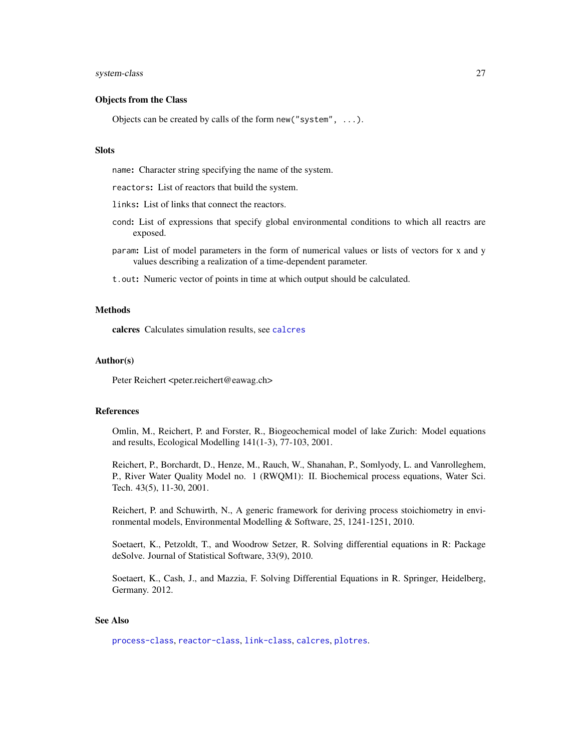# <span id="page-26-0"></span>system-class 27

# Objects from the Class

Objects can be created by calls of the form new("system", ...).

# **Slots**

name: Character string specifying the name of the system.

reactors: List of reactors that build the system.

links: List of links that connect the reactors.

- cond: List of expressions that specify global environmental conditions to which all reactrs are exposed.
- param: List of model parameters in the form of numerical values or lists of vectors for x and y values describing a realization of a time-dependent parameter.

t.out: Numeric vector of points in time at which output should be calculated.

# Methods

calcres Calculates simulation results, see [calcres](#page-5-1)

# Author(s)

Peter Reichert <peter.reichert@eawag.ch>

# References

Omlin, M., Reichert, P. and Forster, R., Biogeochemical model of lake Zurich: Model equations and results, Ecological Modelling 141(1-3), 77-103, 2001.

Reichert, P., Borchardt, D., Henze, M., Rauch, W., Shanahan, P., Somlyody, L. and Vanrolleghem, P., River Water Quality Model no. 1 (RWQM1): II. Biochemical process equations, Water Sci. Tech. 43(5), 11-30, 2001.

Reichert, P. and Schuwirth, N., A generic framework for deriving process stoichiometry in environmental models, Environmental Modelling & Software, 25, 1241-1251, 2010.

Soetaert, K., Petzoldt, T., and Woodrow Setzer, R. Solving differential equations in R: Package deSolve. Journal of Statistical Software, 33(9), 2010.

Soetaert, K., Cash, J., and Mazzia, F. Solving Differential Equations in R. Springer, Heidelberg, Germany. 2012.

# See Also

[process-class](#page-18-1), [reactor-class](#page-22-1), [link-class](#page-13-1), [calcres](#page-5-1), [plotres](#page-14-1).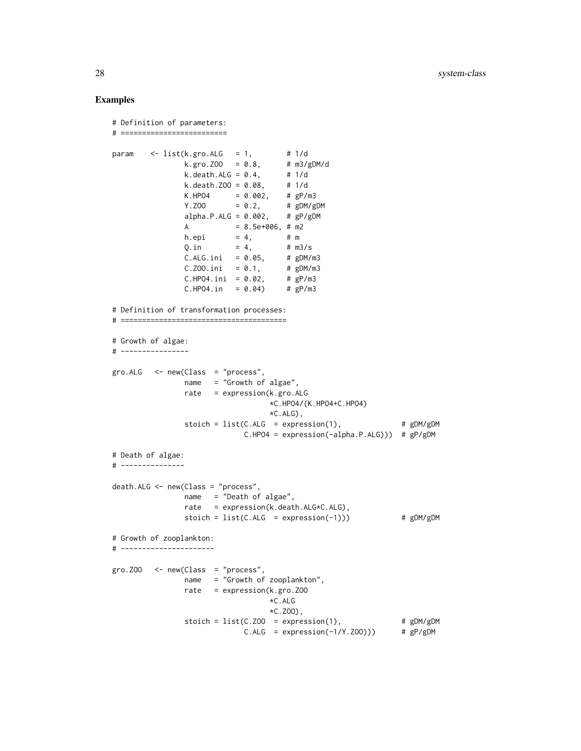```
# Definition of parameters:
# =========================
param \leq list(k.gro.ALG = 1,
               k.gro.ZOO = 0.8, # m3/gDM/d
               k.death.ALG = 0.4, # 1/dk.death.ZOO = 0.08, # 1/d
               K.HPO4 = 0.002, # gP/m3Y. ZOO = 0.2, # gDM/gDMalpha.P.ALG = 0.002, # gP/gDMA = 8.5e+006, # m2
               h.epi = 4, # m
               Q.in = 4, # m3/sC.ALG.ini = 0.05, # gDM/m3C.Z00.ini = 0.1, # gDM/m3C.HPO4.ini = 0.02, # gP/m3C.HPO4.in = 0.04) # gP/m3
# Definition of transformation processes:
# =======================================
# Growth of algae:
# ----------------
gro.ALG <- new(Class = "process",
              name = "Growth of algae",
              rate = expression(k.gro.ALG
                                *C.HPO4/(K.HPO4+C.HPO4)
                                *C.ALG),
              stoich = list(C.ALG = expression(1), # gDM/gDMC.HPO4 = expression(-alpha.P.ALG))) # gP/gDM
# Death of algae:
# ---------------
death.ALG <- new(Class = "process",
              name = "Death of algae",
              rate = expression(k.death.ALG*C.ALG),
              stoich = list(C.ALG = expression(-1)) # gDM/gDM# Growth of zooplankton:
# ----------------------
gro. ZOO < - new(Class = "process",name = "Growth of zooplankton",
              rate = expression(k.gro.ZOO
                                *C.ALG
                                *C.ZOO),
               stoich = list(C.Z00 = expression(1), # gDM/gDMC.ALG = expression(-1/Y.ZOO))) # gP/gDM
```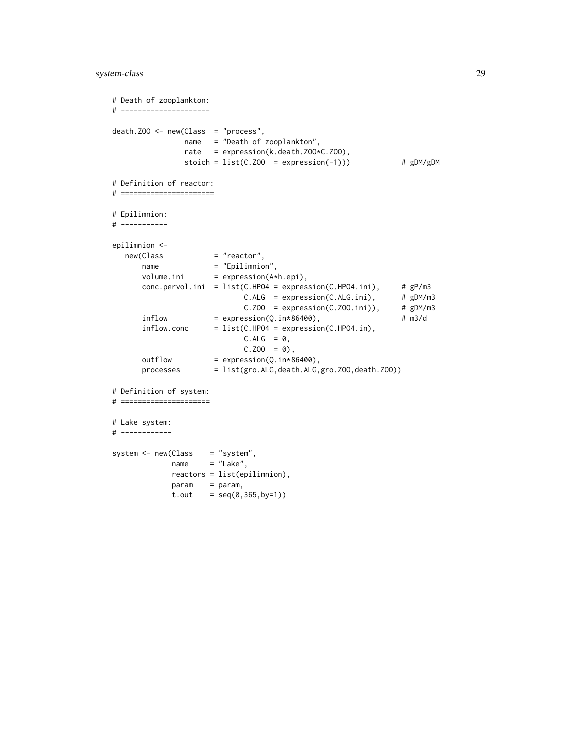# system-class 29

```
# Death of zooplankton:
# ---------------------
death.Z00 \leq new(Class = "process",name = "Death of zooplankton",
               rate = expression(k.death.ZOO*C.ZOO),
               stoich = list(C.Z00 = expression(-1))) # gDM/gDM# Definition of reactor:
# ======================
# Epilimnion:
# -----------
epilimnion <-
  new(Class = "reactor",<br>name = "Epilimnio
      name = "Epilimnion",
      volume.ini = expression(A*h.epi),
      conc.pervol.ini = list(C.HPO4 = expression(C.HPO4.ini), # gP/m3
                            C.ALG = expression(C.ALG.ini), # gDM/m3C.ZOO = expression(C.ZOO.ini)), # gDM/m3inflow = expression(Q.in*86400), # m3/d
      inflow.conc = list(C.HPO4 = expression(C.HPO4.in),
                            C.ALG = 0,C.Z00 = 0,
      outflow = expression(Q.in*86400),
      processes = list(gro.ALG,death.ALG,gro.ZOO,death.ZOO))
# Definition of system:
# =====================
# Lake system:
# ------------
system \leq new(Class = "system",
            name = "Lake",
            reactors = list(epilimnion),
            param = param,
            t.out = seq(0, 365, by=1))
```